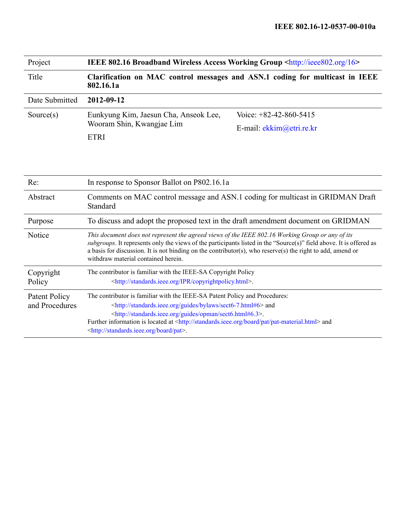| Project                         | IEEE 802.16 Broadband Wireless Access Working Group <http: 16="" ieee802.org=""></http:>                                                                                                                                                                                                                                                                                                                                      |  |  |  |
|---------------------------------|-------------------------------------------------------------------------------------------------------------------------------------------------------------------------------------------------------------------------------------------------------------------------------------------------------------------------------------------------------------------------------------------------------------------------------|--|--|--|
| Title                           | Clarification on MAC control messages and ASN.1 coding for multicast in IEEE<br>802.16.1a                                                                                                                                                                                                                                                                                                                                     |  |  |  |
| Date Submitted                  | 2012-09-12                                                                                                                                                                                                                                                                                                                                                                                                                    |  |  |  |
| Source(s)                       | Voice: $+82-42-860-5415$<br>Eunkyung Kim, Jaesun Cha, Anseok Lee,<br>Wooram Shin, Kwangjae Lim<br>E-mail: ekkim@etri.re.kr<br><b>ETRI</b>                                                                                                                                                                                                                                                                                     |  |  |  |
| Re:                             | In response to Sponsor Ballot on P802.16.1a                                                                                                                                                                                                                                                                                                                                                                                   |  |  |  |
| Abstract                        | Comments on MAC control message and ASN.1 coding for multicast in GRIDMAN Draft<br>Standard                                                                                                                                                                                                                                                                                                                                   |  |  |  |
| Purpose                         | To discuss and adopt the proposed text in the draft amendment document on GRIDMAN                                                                                                                                                                                                                                                                                                                                             |  |  |  |
| Notice                          | This document does not represent the agreed views of the IEEE 802.16 Working Group or any of its<br>subgroups. It represents only the views of the participants listed in the "Source(s)" field above. It is offered as<br>a basis for discussion. It is not binding on the contributor(s), who reserve(s) the right to add, amend or<br>withdraw material contained herein.                                                  |  |  |  |
| Copyright<br>Policy             | The contributor is familiar with the IEEE-SA Copyright Policy<br><http: copyrightpolicy.html="" ipr="" standards.ieee.org="">.</http:>                                                                                                                                                                                                                                                                                        |  |  |  |
| Patent Policy<br>and Procedures | The contributor is familiar with the IEEE-SA Patent Policy and Procedures:<br><http: bylaws="" guides="" sect6-7.html#6="" standards.ieee.org=""> and<br/><http: guides="" opman="" sect6.html#6.3="" standards.ieee.org="">.<br/>Further information is located at <http: board="" pat="" pat-material.html="" standards.ieee.org=""> and<br/><http: board="" pat="" standards.ieee.org="">.</http:></http:></http:></http:> |  |  |  |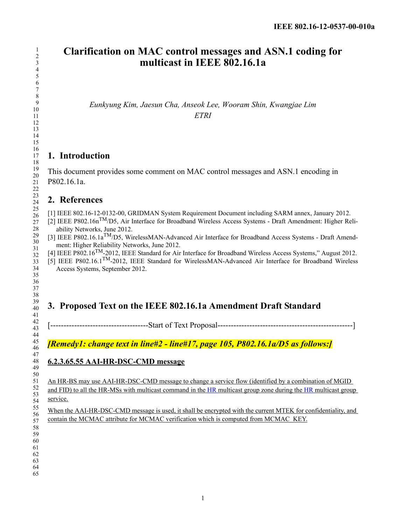## **Clarification on MAC control messages and ASN.1 coding for multicast in IEEE 802.16.1a**

*Eunkyung Kim, Jaesun Cha, Anseok Lee, Wooram Shin, Kwangjae Lim ETRI*

## **1. Introduction**

This document provides some comment on MAC control messages and ASN.1 encoding in P802.16.1a.

## **2. References**

[1] IEEE 802.16-12-0132-00, GRIDMAN System Requirement Document including SARM annex, January 2012.

- [2] IEEE P802.16nTM/D5, Air Interface for Broadband Wireless Access Systems Draft Amendment: Higher Reliability Networks, June 2012.
- [3] IEEE P802.16.1aTM/D5, WirelessMAN-Advanced Air Interface for Broadband Access Systems Draft Amendment: Higher Reliability Networks, June 2012.
- [4] IEEE P802.16<sup>TM</sup>-2012, IEEE Standard for Air Interface for Broadband Wireless Access Systems," August 2012.
- [5] IEEE P802.16.1TM-2012, IEEE Standard for WirelessMAN-Advanced Air Interface for Broadband Wireless Access Systems, September 2012.

# **3. Proposed Text on the IEEE 802.16.1a Amendment Draft Standard**

[-------------------------------------Start of Text Proposal---------------------------------------------------]

*[Remedy1: change text in line#2 - line#17, page 105, P802.16.1a/D5 as follows:]*

### **6.2.3.65.55 AAI-HR-DSC-CMD message**

An HR-BS may use AAI-HR-DSC-CMD message to change a service flow (identified by a combination of MGID and FID) to all the HR-MSs with multicast command in the HR multicast group zone during the HR multicast group service.

When the AAI-HR-DSC-CMD message is used, it shall be encrypted with the current MTEK for confidentiality, and contain the MCMAC attribute for MCMAC verification which is computed from MCMAC\_KEY.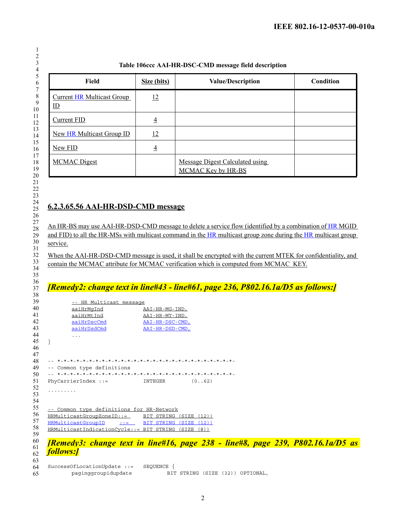#### **Table 106ccc AAI-HR-DSC-CMD message field description**

| Field                                             | Size (bits)    | <b>Value/Description</b>                                     | Condition |
|---------------------------------------------------|----------------|--------------------------------------------------------------|-----------|
| <b>Current HR Multicast Group</b><br>$\mathbb{D}$ | 12             |                                                              |           |
| <b>Current FID</b>                                | $\overline{4}$ |                                                              |           |
| <b>New HR Multicast Group ID</b>                  | 12             |                                                              |           |
| New FID                                           | $\overline{4}$ |                                                              |           |
| <b>MCMAC</b> Digest                               |                | <b>Message Digest Calculated using</b><br>MCMAC Key by HR-BS |           |

### **6.2.3.65.56 AAI-HR-DSD-CMD message**

An HR-BS may use AAI-HR-DSD-CMD message to delete a service flow (identified by a combination of HR MGID and FID) to all the HR-MSs with multicast command in the HR multicast group zone during the HR multicast group service.

When the AAI-HR-DSD-CMD message is used, it shall be encrypted with the current MTEK for confidentiality, and contain the MCMAC attribute for MCMAC verification which is computed from MCMAC\_KEY.

### *[Remedy2: change text in line#43 - line#61, page 236, P802.16.1a/D5 as follows:]*

| 39                       | -- HR Multicast message                                                                |                       |              |  |  |
|--------------------------|----------------------------------------------------------------------------------------|-----------------------|--------------|--|--|
| $\overline{10}$          | aaiHrMqInd                                                                             | AAI-HR-MG-IND,        |              |  |  |
|                          | aaiHrMtInd                                                                             | AAI-HR-MT-IND,        |              |  |  |
| $\overline{2}$           | aaiHrDscCmd                                                                            | AAI-HR-DSC-CMD,       |              |  |  |
| ŀ3                       | aaiHrDsdCmd                                                                            | AAI-HR-DSD-CMD,       |              |  |  |
| 14                       | $\cdot$ $\cdot$ $\cdot$                                                                |                       |              |  |  |
| 15                       |                                                                                        |                       |              |  |  |
| ŀ6                       |                                                                                        |                       |              |  |  |
| 17                       |                                                                                        |                       |              |  |  |
| $\overline{8}$           |                                                                                        |                       |              |  |  |
| 19                       | -- Common type definitions                                                             |                       |              |  |  |
| 50                       |                                                                                        |                       |              |  |  |
| 51                       | PhyCarrierIndex $::=$                                                                  | INTEGER               | (0.062)      |  |  |
| 52                       |                                                                                        |                       |              |  |  |
| 53                       |                                                                                        |                       |              |  |  |
| $\frac{1}{4}$            |                                                                                        |                       |              |  |  |
| 55                       | -- Common type definitions for HR-Network                                              |                       |              |  |  |
| 56                       | HRMulticastGroupZoneID::= BIT STRING                                                   |                       | (SIZE (12))  |  |  |
| 57                       | HRMulticastGroupID                                                                     | $\cdot$ := BIT STRING | (SIZE (12))  |  |  |
| $\overline{\mathbf{58}}$ | HRMulticastIndicationCycle::= BIT STRING                                               |                       | (SIZE<br>(8) |  |  |
| 59                       |                                                                                        |                       |              |  |  |
|                          | <b>[Remedy3: change text in line#16, page 238 - line#8, page 239, P802.16.1a/D5 as</b> |                       |              |  |  |
| 50<br>51                 |                                                                                        |                       |              |  |  |
| 52                       | <b>follows:</b>                                                                        |                       |              |  |  |
| 53                       |                                                                                        |                       |              |  |  |
| $\frac{1}{4}$            | SuccessOfLocationUpdate ::=                                                            | SEOUENCE              |              |  |  |

paginggroupidupdate BIT STRING (SIZE (32)) OPTIONAL,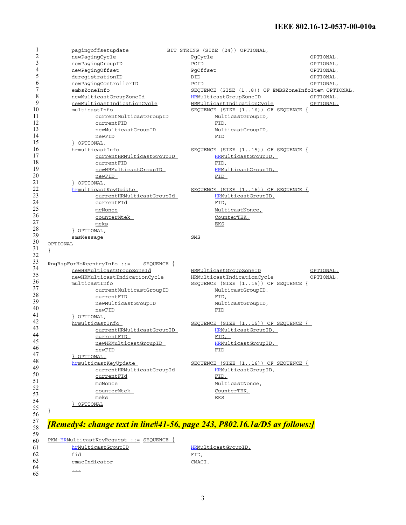#### **IEEE 802.16-12-0537-00-010a**

|          | pagingoffsetupdate                    | BIT STRING (SIZE (24)) OPTIONAL,                   |  |
|----------|---------------------------------------|----------------------------------------------------|--|
|          | newPagingCycle                        | OPTIONAL,<br>PgCycle                               |  |
|          | newPagingGroupID                      | PGID<br>OPTIONAL,                                  |  |
|          | newPagingOffset                       | PqOffset<br>OPTIONAL,                              |  |
|          | deregistrationID                      | DID<br>OPTIONAL,                                   |  |
|          | newPaqinqControllerID                 | PCID<br>OPTIONAL,                                  |  |
|          | embsZoneInfo                          | SEQUENCE (SIZE (18)) OF EMBSZoneInfoItem OPTIONAL, |  |
|          | newMulticastGroupZoneId               | HRMulticastGroupZoneID<br>OPTIONAL,                |  |
|          | newMulticastIndicationCycle           | HRMulticastIndicationCycle<br>OPTIONAL,            |  |
|          | multicastInfo                         | SEQUENCE (SIZE $(116)$ ) OF SEQUENCE {             |  |
|          | currentMulticastGroupID               | MulticastGroupID,                                  |  |
|          | currentFID                            |                                                    |  |
|          |                                       | FID,                                               |  |
|          | newMulticastGroupID                   | MulticastGroupID,                                  |  |
|          | newFID                                | FID                                                |  |
|          | POPTIONAL,                            |                                                    |  |
|          | hrmulticastInfo                       | SEQUENCE $(SIZE (115))$ OF SEQUENCE $\{$           |  |
|          | currentHRMulticastGroupID             | HRMulticastGroupID,                                |  |
|          | currentFID                            | FID,                                               |  |
|          | newHRMulticastGroupID                 | HRMulticastGroupID,                                |  |
|          | newFID                                | FID_                                               |  |
|          | POPTIONAL,                            |                                                    |  |
|          | hrmulticastKeyUpdate                  | SEQUENCE (SIZE $(116)$ ) OF SEQUENCE $\{$          |  |
|          | currentHRMulticastGroupId             | HRMulticastGroupID,                                |  |
|          | currentFId                            | FID,                                               |  |
|          | mcNonce                               | MulticastNonce,                                    |  |
|          | counterMtek                           | CounterTEK,                                        |  |
|          | meks                                  | EKS                                                |  |
|          | POPTIONAL,                            |                                                    |  |
|          |                                       |                                                    |  |
|          | smsMessage                            | SMS                                                |  |
| OPTIONAL |                                       |                                                    |  |
| $\}$     | RngRspForHoReentryInfo ::= SEQUENCE { |                                                    |  |
|          | newHRMulticastGroupZoneId             | HRMulticastGroupZoneID<br>OPTIONAL,                |  |
|          | newHRMulticastIndicationCycle         | <b>HRMulticastIndicationCycle</b><br>OPTIONAL,     |  |
|          | multicastInfo                         | SEQUENCE (SIZE $(115)$ ) OF SEQUENCE {             |  |
|          | currentMulticastGroupID               | MulticastGroupID,                                  |  |
|          | currentFID                            | FID,                                               |  |
|          | newMulticastGroupID                   | MulticastGroupID,                                  |  |
|          | newFID                                | FID                                                |  |
|          | POPTIONAL                             |                                                    |  |
|          | hrmulticastInfo                       | SEQUENCE $(SIZE (115))$ OF SEQUENCE $\{$           |  |
|          | currentHRMulticastGroupID             | HRMulticastGroupID,                                |  |
|          | currentFID                            | <u>FID, </u>                                       |  |
|          | newHRMulticastGroupID                 | HRMulticastGroupID,                                |  |
|          | <u>newFID</u>                         | <u>FID</u>                                         |  |
|          | OPTIONAL,                             |                                                    |  |
|          | hrmulticastKeyUpdate                  | SEQUENCE (SIZE $(116)$ ) OF SEQUENCE {             |  |
|          | <u>currentHRMulticastGroupId</u>      | HRMulticastGroupID,                                |  |
|          | <u>currentFId</u>                     |                                                    |  |
|          |                                       | <u>FID,</u>                                        |  |
|          | mcNonce                               | MulticastNonce,                                    |  |
|          | counterMtek                           | CounterTEK,                                        |  |
|          | meks                                  | <u>EKS</u>                                         |  |
|          | OPTIONAL                              |                                                    |  |
|          |                                       |                                                    |  |

60 PKM-HRMulticastKeyRequest ::= SEQUENCE { 61 62 63 hrMulticastGroupID HRMulticastGroupID, fid FID, cmacIndicator CMACI, ...

64 65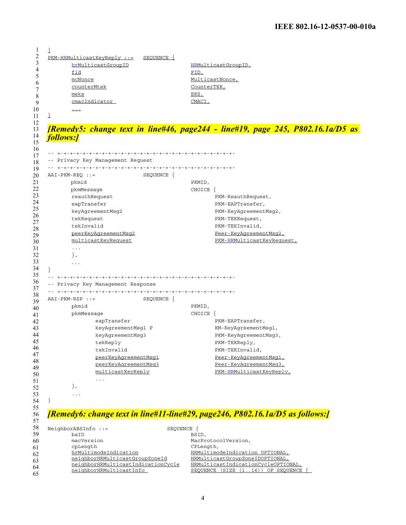| $PKM-HRMulticastKeyReply ::=$<br>SEQUENCE {<br>hrMulticastGroupID                           | HRMulticastGroupID,                                                                    |
|---------------------------------------------------------------------------------------------|----------------------------------------------------------------------------------------|
| fid                                                                                         | FID,                                                                                   |
| mcNonce                                                                                     | MulticastNonce,                                                                        |
| counterMtek                                                                                 | CounterTEK,                                                                            |
| meks                                                                                        | EKS,                                                                                   |
| cmacIndicator                                                                               | CMACI,                                                                                 |
| $\cdots$                                                                                    |                                                                                        |
| ↨                                                                                           |                                                                                        |
|                                                                                             |                                                                                        |
|                                                                                             | <i>[Remedy5: change text in line#46, page244 - line#19, page 245, P802.16.1a/D5 as</i> |
| <b>follows:</b>                                                                             |                                                                                        |
|                                                                                             |                                                                                        |
| -- Privacy Key Management Request                                                           |                                                                                        |
|                                                                                             |                                                                                        |
| $AAI-PKM-REO$ : =<br>SEQUENCE {                                                             |                                                                                        |
| pkmid                                                                                       | PKMID,                                                                                 |
| pkmMessage                                                                                  | CHOICE                                                                                 |
| reauthRequest                                                                               | PKM-ReauthRequest,                                                                     |
| eapTransfer                                                                                 | PKM-EAPTransfer,                                                                       |
| keyAgreementMsg2                                                                            | PKM-KeyAqreementMsq2,                                                                  |
| tekRequest                                                                                  | PKM-TEKRequest,                                                                        |
| tekInvalid                                                                                  | PKM-TEKInvalid,                                                                        |
| peerKeyAgreementMsg2                                                                        | Peer-KeyAgreementMsg2,                                                                 |
| multicastKeyRequest                                                                         | PKM-HRMulticastKeyRequest,                                                             |
| $\sim$ $\sim$ $\sim$                                                                        |                                                                                        |
| $\}$ ,                                                                                      |                                                                                        |
| $\cdots$                                                                                    |                                                                                        |
|                                                                                             |                                                                                        |
|                                                                                             |                                                                                        |
| -- Privacy Key Management Response                                                          |                                                                                        |
|                                                                                             |                                                                                        |
| $AAI-PKM-RSP :: =$<br>SEQUENCE {                                                            |                                                                                        |
| pkmid                                                                                       | PKMID,                                                                                 |
| pkmMessage                                                                                  | CHOICE {                                                                               |
| eapTransfer                                                                                 | PKM-EAPTransfer,                                                                       |
| keyAgreementMsg1 P                                                                          | KM-KeyAgreementMsg1,                                                                   |
| keyAgreementMsg3                                                                            | PKM-KeyAgreementMsg3,                                                                  |
| tekReply                                                                                    | PKM-TEKReply,                                                                          |
| tekInvalid                                                                                  | PKM-TEKInvalid,                                                                        |
| peerKeyAqreementMsq1                                                                        | Peer-KeyAqreementMsq1,                                                                 |
| peerKeyAgreementMsg3                                                                        | Peer-KeyAgreementMsg3                                                                  |
|                                                                                             | PKM-HRMulticastKeyReply,                                                               |
| multicastKeyReply                                                                           |                                                                                        |
| $\sim$ $\sim$ $\sim$                                                                        |                                                                                        |
| $\}$ ,                                                                                      |                                                                                        |
| $\sim$ $\sim$ $\sim$                                                                        |                                                                                        |
|                                                                                             |                                                                                        |
|                                                                                             |                                                                                        |
|                                                                                             | [Remedy6: change text in line#11-line#29, page246, P802.16.1a/D5 as follows:]          |
|                                                                                             |                                                                                        |
| bsID                                                                                        | SEQUENCE {<br>BSID,                                                                    |
| macVersion                                                                                  | MacProtocolVersion,                                                                    |
| cpLength                                                                                    | CPLength,                                                                              |
| hrMultimodeIndication                                                                       | HRMultimodeIndication OPTIONAL,                                                        |
| NeighborABSInfo ::=<br>neighborHRMulticastGroupZoneId<br>neighborHRMulticastIndicationCycle | HRMulticastGroupZoneIDOPTIONAL,<br>HRMulticastIndicationCycleOPTIONAL,                 |